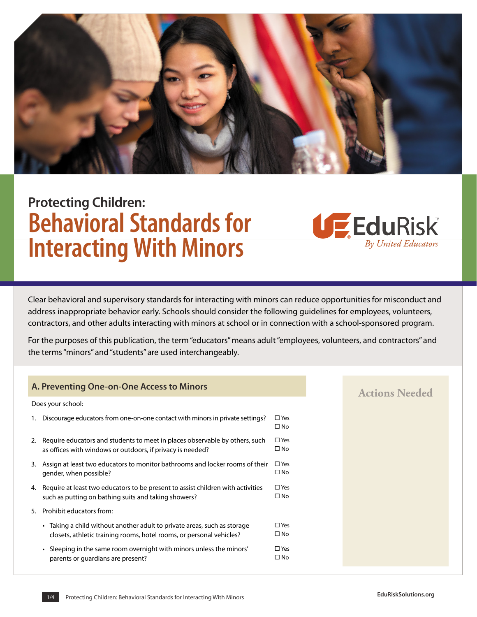

# **Protecting Children: Behavioral Standards for Interacting With Minors**

Clear behavioral and supervisory standards for interacting with minors can reduce opportunities for misconduct and address inappropriate behavior early. Schools should consider the following guidelines for employees, volunteers, contractors, and other adults interacting with minors at school or in connection with a school-sponsored program.

For the purposes of this publication, the term "educators" means adult "employees, volunteers, and contractors" and the terms "minors" and "students" are used interchangeably.

### **A. Preventing One-on-One Access to Minors**

|    | Does your school:                                                                                                                              |                               |
|----|------------------------------------------------------------------------------------------------------------------------------------------------|-------------------------------|
| 1. | Discourage educators from one-on-one contact with minors in private settings?                                                                  | $\square$ Yes<br>$\square$ No |
|    | 2. Require educators and students to meet in places observable by others, such<br>as offices with windows or outdoors, if privacy is needed?   | $\square$ Yes<br>$\square$ No |
| 3. | Assign at least two educators to monitor bathrooms and locker rooms of their<br>gender, when possible?                                         | $\square$ Yes<br>$\square$ No |
|    | 4. Require at least two educators to be present to assist children with activities<br>such as putting on bathing suits and taking showers?     | $\square$ Yes<br>$\square$ No |
| 5. | Prohibit educators from:                                                                                                                       |                               |
|    | Taking a child without another adult to private areas, such as storage<br>closets, athletic training rooms, hotel rooms, or personal vehicles? | $\square$ Yes<br>□ No         |
|    | • Sleeping in the same room overnight with minors unless the minors'<br>parents or quardians are present?                                      | $\square$ Yes<br>□ No         |

## **Actions Needed**

EduRisk

By United Educators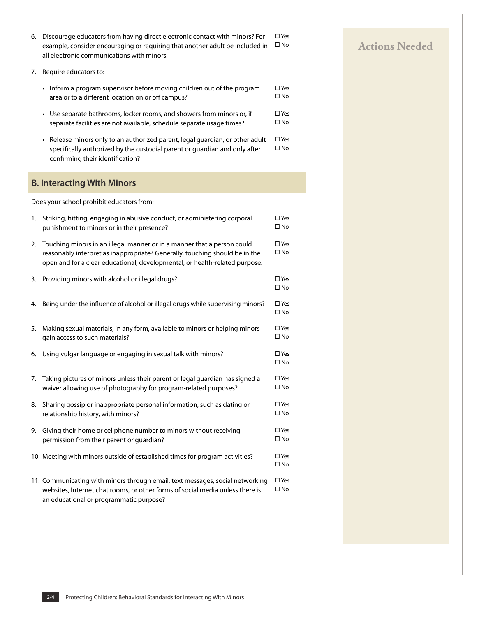- 6. Discourage educators from having direct electronic contact with minors? For  $\Box$  Yes example, consider encouraging or requiring that another adult be included in  $\Box$  No all electronic communications with minors.
- 7. Require educators to:
	- Inform a program supervisor before moving children out of the program area or to a different location on or off campus? � Yes  $\square$  No
	- Use separate bathrooms, locker rooms, and showers from minors or, if separate facilities are not available, schedule separate usage times?  $\square$  Yes  $\square$  No
	- Release minors only to an authorized parent, legal guardian, or other adult specifically authorized by the custodial parent or guardian and only after confirming their identification? � Yes  $\square$  No

## **B. Interacting With Minors**

Does your school prohibit educators from:

| 1. | Striking, hitting, engaging in abusive conduct, or administering corporal<br>punishment to minors or in their presence?                                                                                                               | $\square$ Yes<br>$\square$ No |
|----|---------------------------------------------------------------------------------------------------------------------------------------------------------------------------------------------------------------------------------------|-------------------------------|
| 2. | Touching minors in an illegal manner or in a manner that a person could<br>reasonably interpret as inappropriate? Generally, touching should be in the<br>open and for a clear educational, developmental, or health-related purpose. | $\square$ Yes<br>$\square$ No |
| 3. | Providing minors with alcohol or illegal drugs?                                                                                                                                                                                       | $\square$ Yes<br>$\square$ No |
| 4. | Being under the influence of alcohol or illegal drugs while supervising minors?                                                                                                                                                       | $\square$ Yes<br>$\square$ No |
| 5. | Making sexual materials, in any form, available to minors or helping minors<br>gain access to such materials?                                                                                                                         | $\square$ Yes<br>$\square$ No |
| 6. | Using vulgar language or engaging in sexual talk with minors?                                                                                                                                                                         | $\square$ Yes<br>$\square$ No |
| 7. | Taking pictures of minors unless their parent or legal guardian has signed a<br>waiver allowing use of photography for program-related purposes?                                                                                      | $\square$ Yes<br>$\square$ No |
| 8. | Sharing gossip or inappropriate personal information, such as dating or<br>relationship history, with minors?                                                                                                                         | $\square$ Yes<br>$\square$ No |
| 9. | Giving their home or cellphone number to minors without receiving<br>permission from their parent or guardian?                                                                                                                        | $\square$ Yes<br>$\square$ No |
|    | 10. Meeting with minors outside of established times for program activities?                                                                                                                                                          | $\square$ Yes<br>$\square$ No |
|    | 11. Communicating with minors through email, text messages, social networking<br>websites, Internet chat rooms, or other forms of social media unless there is<br>an educational or programmatic purpose?                             | $\square$ Yes<br>$\square$ No |

## **Actions Needed**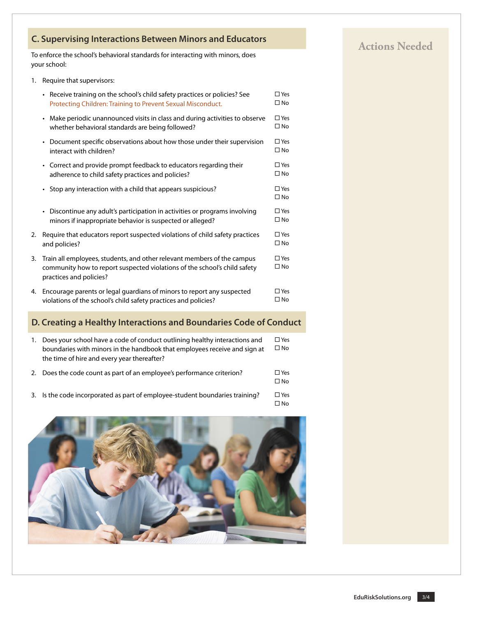## **C. Supervising Interactions Between Minors and Educators C. Supervising Interactions Between Minors and Educators**

To enforce the school's behavioral standards for interacting with minors, does your school:

1. Require that supervisors:

|    | • Receive training on the school's child safety practices or policies? See<br>Protecting Children: Training to Prevent Sexual Misconduct.                                       | $\square$ Yes<br>$\square$ No |
|----|---------------------------------------------------------------------------------------------------------------------------------------------------------------------------------|-------------------------------|
|    | • Make periodic unannounced visits in class and during activities to observe<br>whether behavioral standards are being followed?                                                | $\square$ Yes<br>$\square$ No |
|    | • Document specific observations about how those under their supervision<br>interact with children?                                                                             | $\square$ Yes<br>$\square$ No |
|    | • Correct and provide prompt feedback to educators regarding their<br>adherence to child safety practices and policies?                                                         | $\square$ Yes<br>$\square$ No |
|    | • Stop any interaction with a child that appears suspicious?                                                                                                                    | $\square$ Yes<br>$\square$ No |
|    | • Discontinue any adult's participation in activities or programs involving<br>minors if inappropriate behavior is suspected or alleged?                                        | $\square$ Yes<br>$\square$ No |
| 2. | Require that educators report suspected violations of child safety practices<br>and policies?                                                                                   | $\square$ Yes<br>$\square$ No |
| 3. | Train all employees, students, and other relevant members of the campus<br>community how to report suspected violations of the school's child safety<br>practices and policies? | $\square$ Yes<br>$\square$ No |
| 4. | Encourage parents or legal guardians of minors to report any suspected<br>violations of the school's child safety practices and policies?                                       | $\square$ Yes<br>$\square$ No |

## **D. Creating a Healthy Interactions and Boundaries Code of Conduct**

| 1. Does your school have a code of conduct outlining healthy interactions and<br>boundaries with minors in the handbook that employees receive and sign at<br>the time of hire and every year thereafter? | $\square$ Yes<br>$\square$ No |
|-----------------------------------------------------------------------------------------------------------------------------------------------------------------------------------------------------------|-------------------------------|
| 2. Does the code count as part of an employee's performance criterion?                                                                                                                                    | $\square$ Yes<br>$\Box$ No    |

3. Is the code incorporated as part of employee-student boundaries training?  $\Box$  Yes  $\square$  No